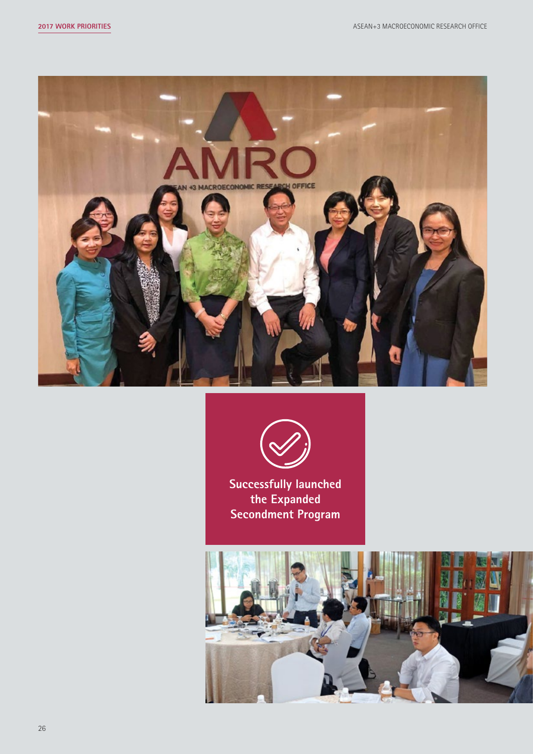



**Successfully launched the Expanded Secondment Program**

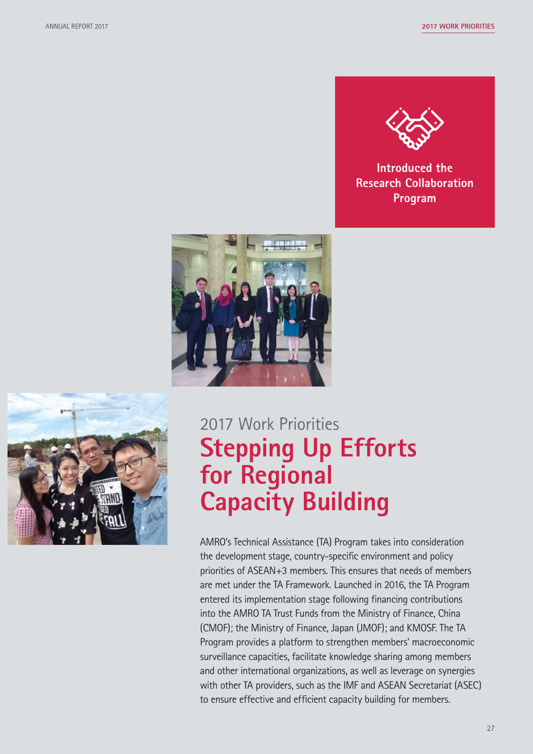

**Introduced the Research Collaboration Program**





# 2017 Work Priorities **Stepping Up Efforts for Regional Capacity Building**

AMRO's Technical Assistance (TA) Program takes into consideration the development stage, country-specific environment and policy priorities of ASEAN+3 members. This ensures that needs of members are met under the TA Framework. Launched in 2016, the TA Program entered its implementation stage following financing contributions into the AMRO TA Trust Funds from the Ministry of Finance, China (CMOF); the Ministry of Finance, Japan (JMOF); and KMOSF. The TA Program provides a platform to strengthen members' macroeconomic surveillance capacities, facilitate knowledge sharing among members and other international organizations, as well as leverage on synergies with other TA providers, such as the IMF and ASEAN Secretariat (ASEC) to ensure effective and efficient capacity building for members.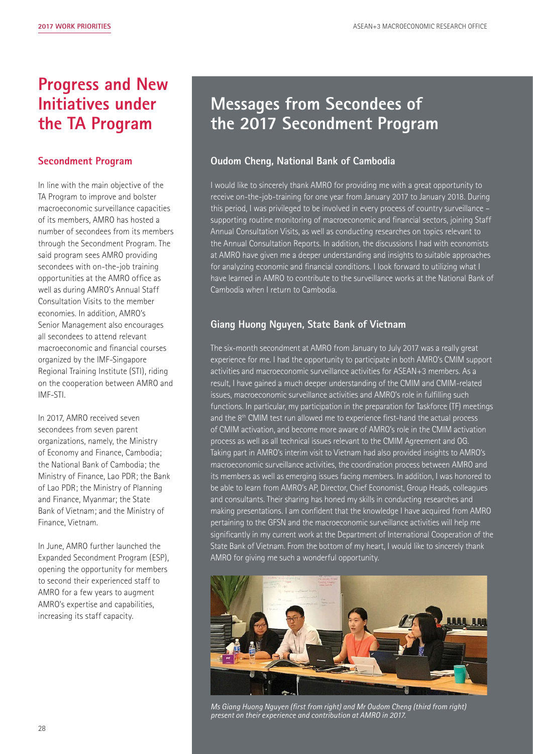# **Progress and New Initiatives under the TA Program**

### **Secondment Program**

In line with the main objective of the TA Program to improve and bolster macroeconomic surveillance capacities of its members, AMRO has hosted a number of secondees from its members through the Secondment Program. The said program sees AMRO providing secondees with on-the-job training opportunities at the AMRO office as well as during AMRO's Annual Staff Consultation Visits to the member economies. In addition, AMRO's Senior Management also encourages all secondees to attend relevant macroeconomic and financial courses organized by the IMF-Singapore Regional Training Institute (STI), riding on the cooperation between AMRO and IMF-STI.

In 2017, AMRO received seven secondees from seven parent organizations, namely, the Ministry of Economy and Finance, Cambodia; the National Bank of Cambodia; the Ministry of Finance, Lao PDR; the Bank of Lao PDR; the Ministry of Planning and Finance, Myanmar; the State Bank of Vietnam; and the Ministry of Finance, Vietnam.

In June, AMRO further launched the Expanded Secondment Program (ESP), opening the opportunity for members to second their experienced staff to AMRO for a few years to augment AMRO's expertise and capabilities, increasing its staff capacity.

# **Messages from Secondees of the 2017 Secondment Program**

## **Oudom Cheng, National Bank of Cambodia**

I would like to sincerely thank AMRO for providing me with a great opportunity to receive on-the-job-training for one year from January 2017 to January 2018. During this period, I was privileged to be involved in every process of country surveillance – supporting routine monitoring of macroeconomic and financial sectors, joining Staff Annual Consultation Visits, as well as conducting researches on topics relevant to the Annual Consultation Reports. In addition, the discussions I had with economists at AMRO have given me a deeper understanding and insights to suitable approaches for analyzing economic and financial conditions. I look forward to utilizing what I have learned in AMRO to contribute to the surveillance works at the National Bank of Cambodia when I return to Cambodia.

## **Giang Huong Nguyen, State Bank of Vietnam**

The six-month secondment at AMRO from January to July 2017 was a really great experience for me. I had the opportunity to participate in both AMRO's CMIM support activities and macroeconomic surveillance activities for ASEAN+3 members. As a result, I have gained a much deeper understanding of the CMIM and CMIM-related issues, macroeconomic surveillance activities and AMRO's role in fulfilling such functions. In particular, my participation in the preparation for Taskforce (TF) meetings and the 8<sup>th</sup> CMIM test run allowed me to experience first-hand the actual process of CMIM activation, and become more aware of AMRO's role in the CMIM activation process as well as all technical issues relevant to the CMIM Agreement and OG. Taking part in AMRO's interim visit to Vietnam had also provided insights to AMRO's macroeconomic surveillance activities, the coordination process between AMRO and its members as well as emerging issues facing members. In addition, I was honored to be able to learn from AMRO's AP, Director, Chief Economist, Group Heads, colleagues and consultants. Their sharing has honed my skills in conducting researches and making presentations. I am confident that the knowledge I have acquired from AMRO pertaining to the GFSN and the macroeconomic surveillance activities will help me significantly in my current work at the Department of International Cooperation of the State Bank of Vietnam. From the bottom of my heart, I would like to sincerely thank AMRO for giving me such a wonderful opportunity.



*Ms Giang Huong Nguyen (first from right) and Mr Oudom Cheng (third from right) present on their experience and contribution at AMRO in 2017.*